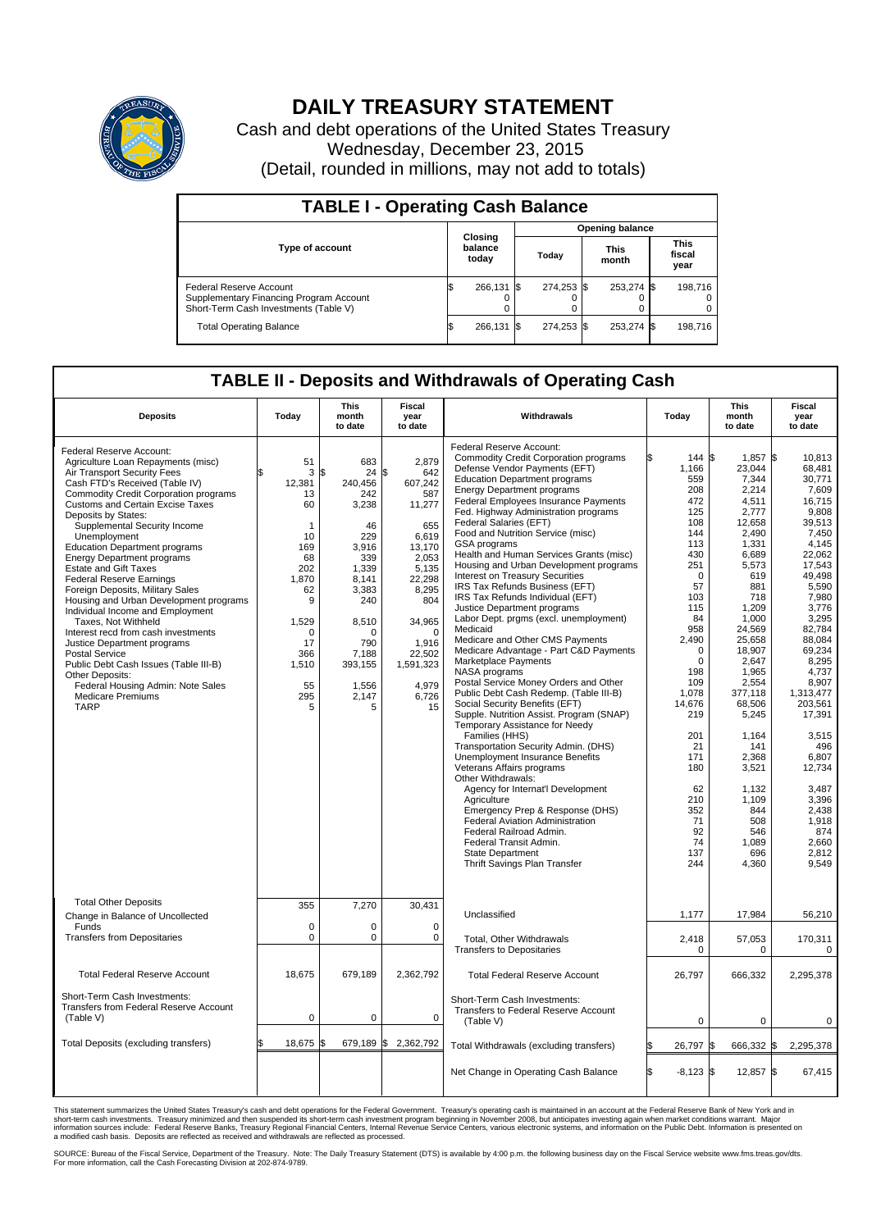

## **DAILY TREASURY STATEMENT**

Cash and debt operations of the United States Treasury Wednesday, December 23, 2015 (Detail, rounded in millions, may not add to totals)

| <b>TABLE I - Operating Cash Balance</b>                                                                     |    |                             |  |                        |  |                      |  |                               |  |  |  |
|-------------------------------------------------------------------------------------------------------------|----|-----------------------------|--|------------------------|--|----------------------|--|-------------------------------|--|--|--|
|                                                                                                             |    | Closing<br>balance<br>today |  | <b>Opening balance</b> |  |                      |  |                               |  |  |  |
| <b>Type of account</b>                                                                                      |    |                             |  | Today                  |  | <b>This</b><br>month |  | <b>This</b><br>fiscal<br>year |  |  |  |
| Federal Reserve Account<br>Supplementary Financing Program Account<br>Short-Term Cash Investments (Table V) |    | 266.131 \$                  |  | 274.253 \$             |  | 253,274 \$           |  | 198,716                       |  |  |  |
| <b>Total Operating Balance</b>                                                                              | IЭ | 266.131 \$                  |  | 274.253 \$             |  | 253,274 \$           |  | 198,716                       |  |  |  |

## **TABLE II - Deposits and Withdrawals of Operating Cash**

| <b>Deposits</b>                                                                                                                                                                                                                                                                                                                                                                                                                                                                                                                                                                                                                                                                                                                                                                                                                       | Today                                                                                                                                         | <b>This</b><br>month<br>to date                                                                                                                                                  | <b>Fiscal</b><br>year<br>to date                                                                                                                                                                    | Withdrawals                                                                                                                                                                                                                                                                                                                                                                                                                                                                                                                                                                                                                                                                                                                                                                                                                                                                                                                                                                                                                                                                                                                                                                                                                                                                                                                                                               | Today                                                                                                                                                                                                                                                                                         | <b>This</b><br>month<br>to date                                                                                                                                                                                                                                                                                                          | <b>Fiscal</b><br>year<br>to date                                                                                                                                                                                                                                                                                                                                |  |  |
|---------------------------------------------------------------------------------------------------------------------------------------------------------------------------------------------------------------------------------------------------------------------------------------------------------------------------------------------------------------------------------------------------------------------------------------------------------------------------------------------------------------------------------------------------------------------------------------------------------------------------------------------------------------------------------------------------------------------------------------------------------------------------------------------------------------------------------------|-----------------------------------------------------------------------------------------------------------------------------------------------|----------------------------------------------------------------------------------------------------------------------------------------------------------------------------------|-----------------------------------------------------------------------------------------------------------------------------------------------------------------------------------------------------|---------------------------------------------------------------------------------------------------------------------------------------------------------------------------------------------------------------------------------------------------------------------------------------------------------------------------------------------------------------------------------------------------------------------------------------------------------------------------------------------------------------------------------------------------------------------------------------------------------------------------------------------------------------------------------------------------------------------------------------------------------------------------------------------------------------------------------------------------------------------------------------------------------------------------------------------------------------------------------------------------------------------------------------------------------------------------------------------------------------------------------------------------------------------------------------------------------------------------------------------------------------------------------------------------------------------------------------------------------------------------|-----------------------------------------------------------------------------------------------------------------------------------------------------------------------------------------------------------------------------------------------------------------------------------------------|------------------------------------------------------------------------------------------------------------------------------------------------------------------------------------------------------------------------------------------------------------------------------------------------------------------------------------------|-----------------------------------------------------------------------------------------------------------------------------------------------------------------------------------------------------------------------------------------------------------------------------------------------------------------------------------------------------------------|--|--|
| Federal Reserve Account:<br>Agriculture Loan Repayments (misc)<br>Air Transport Security Fees<br>Cash FTD's Received (Table IV)<br><b>Commodity Credit Corporation programs</b><br><b>Customs and Certain Excise Taxes</b><br>Deposits by States:<br>Supplemental Security Income<br>Unemployment<br><b>Education Department programs</b><br><b>Energy Department programs</b><br><b>Estate and Gift Taxes</b><br><b>Federal Reserve Earnings</b><br>Foreign Deposits, Military Sales<br>Housing and Urban Development programs<br>Individual Income and Employment<br>Taxes, Not Withheld<br>Interest recd from cash investments<br>Justice Department programs<br><b>Postal Service</b><br>Public Debt Cash Issues (Table III-B)<br>Other Deposits:<br>Federal Housing Admin: Note Sales<br><b>Medicare Premiums</b><br><b>TARP</b> | 51<br>3<br>12,381<br>13<br>60<br>1<br>10<br>169<br>68<br>202<br>1.870<br>62<br>9<br>1,529<br>$\Omega$<br>17<br>366<br>1,510<br>55<br>295<br>5 | 683<br>\$<br>24<br>240,456<br>242<br>3,238<br>46<br>229<br>3.916<br>339<br>1,339<br>8.141<br>3,383<br>240<br>8,510<br>$\Omega$<br>790<br>7,188<br>393,155<br>1,556<br>2,147<br>5 | 2,879<br>l\$<br>642<br>607,242<br>587<br>11,277<br>655<br>6,619<br>13,170<br>2,053<br>5,135<br>22.298<br>8,295<br>804<br>34,965<br>$\Omega$<br>1,916<br>22,502<br>1,591,323<br>4,979<br>6,726<br>15 | Federal Reserve Account:<br><b>Commodity Credit Corporation programs</b><br>Defense Vendor Payments (EFT)<br><b>Education Department programs</b><br><b>Energy Department programs</b><br>Federal Employees Insurance Payments<br>Fed. Highway Administration programs<br>Federal Salaries (EFT)<br>Food and Nutrition Service (misc)<br><b>GSA</b> programs<br>Health and Human Services Grants (misc)<br>Housing and Urban Development programs<br>Interest on Treasury Securities<br>IRS Tax Refunds Business (EFT)<br>IRS Tax Refunds Individual (EFT)<br>Justice Department programs<br>Labor Dept. prgms (excl. unemployment)<br>Medicaid<br>Medicare and Other CMS Payments<br>Medicare Advantage - Part C&D Payments<br>Marketplace Payments<br>NASA programs<br>Postal Service Money Orders and Other<br>Public Debt Cash Redemp. (Table III-B)<br>Social Security Benefits (EFT)<br>Supple. Nutrition Assist. Program (SNAP)<br>Temporary Assistance for Needy<br>Families (HHS)<br>Transportation Security Admin. (DHS)<br>Unemployment Insurance Benefits<br>Veterans Affairs programs<br>Other Withdrawals:<br>Agency for Internat'l Development<br>Agriculture<br>Emergency Prep & Response (DHS)<br><b>Federal Aviation Administration</b><br>Federal Railroad Admin.<br>Federal Transit Admin.<br><b>State Department</b><br>Thrift Savings Plan Transfer | 144<br>۱Ŧ.<br>1,166<br>559<br>208<br>472<br>125<br>108<br>144<br>113<br>430<br>251<br>$\Omega$<br>57<br>103<br>115<br>84<br>958<br>2,490<br>$\mathbf 0$<br>$\mathbf 0$<br>198<br>109<br>1,078<br>14,676<br>219<br>201<br>21<br>171<br>180<br>62<br>210<br>352<br>71<br>92<br>74<br>137<br>244 | l\$<br>1.857<br>23,044<br>7,344<br>2.214<br>4,511<br>2,777<br>12,658<br>2,490<br>1,331<br>6.689<br>5,573<br>619<br>881<br>718<br>1.209<br>1,000<br>24,569<br>25,658<br>18,907<br>2,647<br>1,965<br>2,554<br>377,118<br>68,506<br>5,245<br>1,164<br>141<br>2,368<br>3,521<br>1,132<br>1,109<br>844<br>508<br>546<br>1,089<br>696<br>4,360 | l\$<br>10.813<br>68,481<br>30,771<br>7.609<br>16,715<br>9.808<br>39.513<br>7,450<br>4.145<br>22.062<br>17,543<br>49,498<br>5.590<br>7,980<br>3,776<br>3,295<br>82,784<br>88,084<br>69.234<br>8,295<br>4.737<br>8,907<br>1.313.477<br>203,561<br>17,391<br>3,515<br>496<br>6.807<br>12,734<br>3.487<br>3,396<br>2,438<br>1,918<br>874<br>2.660<br>2.812<br>9,549 |  |  |
| <b>Total Other Deposits</b><br>Change in Balance of Uncollected                                                                                                                                                                                                                                                                                                                                                                                                                                                                                                                                                                                                                                                                                                                                                                       | 355                                                                                                                                           | 7,270                                                                                                                                                                            | 30,431                                                                                                                                                                                              | Unclassified                                                                                                                                                                                                                                                                                                                                                                                                                                                                                                                                                                                                                                                                                                                                                                                                                                                                                                                                                                                                                                                                                                                                                                                                                                                                                                                                                              | 1,177                                                                                                                                                                                                                                                                                         | 17,984                                                                                                                                                                                                                                                                                                                                   | 56,210                                                                                                                                                                                                                                                                                                                                                          |  |  |
| Funds<br><b>Transfers from Depositaries</b>                                                                                                                                                                                                                                                                                                                                                                                                                                                                                                                                                                                                                                                                                                                                                                                           | $\mathbf 0$<br>0                                                                                                                              | $\Omega$<br>0                                                                                                                                                                    | $\Omega$<br>0                                                                                                                                                                                       | <b>Total, Other Withdrawals</b>                                                                                                                                                                                                                                                                                                                                                                                                                                                                                                                                                                                                                                                                                                                                                                                                                                                                                                                                                                                                                                                                                                                                                                                                                                                                                                                                           | 2,418                                                                                                                                                                                                                                                                                         | 57,053                                                                                                                                                                                                                                                                                                                                   | 170,311                                                                                                                                                                                                                                                                                                                                                         |  |  |
| <b>Total Federal Reserve Account</b>                                                                                                                                                                                                                                                                                                                                                                                                                                                                                                                                                                                                                                                                                                                                                                                                  | 18,675                                                                                                                                        | 679.189                                                                                                                                                                          | 2,362,792                                                                                                                                                                                           | <b>Transfers to Depositaries</b><br><b>Total Federal Reserve Account</b>                                                                                                                                                                                                                                                                                                                                                                                                                                                                                                                                                                                                                                                                                                                                                                                                                                                                                                                                                                                                                                                                                                                                                                                                                                                                                                  | $\mathbf 0$<br>26,797                                                                                                                                                                                                                                                                         | $\mathbf 0$<br>666,332                                                                                                                                                                                                                                                                                                                   | $\mathbf 0$<br>2,295,378                                                                                                                                                                                                                                                                                                                                        |  |  |
| Short-Term Cash Investments:                                                                                                                                                                                                                                                                                                                                                                                                                                                                                                                                                                                                                                                                                                                                                                                                          |                                                                                                                                               |                                                                                                                                                                                  |                                                                                                                                                                                                     | Short-Term Cash Investments:                                                                                                                                                                                                                                                                                                                                                                                                                                                                                                                                                                                                                                                                                                                                                                                                                                                                                                                                                                                                                                                                                                                                                                                                                                                                                                                                              |                                                                                                                                                                                                                                                                                               |                                                                                                                                                                                                                                                                                                                                          |                                                                                                                                                                                                                                                                                                                                                                 |  |  |
| <b>Transfers from Federal Reserve Account</b><br>(Table V)                                                                                                                                                                                                                                                                                                                                                                                                                                                                                                                                                                                                                                                                                                                                                                            | 0                                                                                                                                             | 0                                                                                                                                                                                | 0                                                                                                                                                                                                   | Transfers to Federal Reserve Account<br>(Table V)                                                                                                                                                                                                                                                                                                                                                                                                                                                                                                                                                                                                                                                                                                                                                                                                                                                                                                                                                                                                                                                                                                                                                                                                                                                                                                                         | $\mathbf 0$                                                                                                                                                                                                                                                                                   | $\mathbf 0$                                                                                                                                                                                                                                                                                                                              | $\mathbf 0$                                                                                                                                                                                                                                                                                                                                                     |  |  |
| Total Deposits (excluding transfers)                                                                                                                                                                                                                                                                                                                                                                                                                                                                                                                                                                                                                                                                                                                                                                                                  | 18,675<br>\$                                                                                                                                  | l\$                                                                                                                                                                              | 679,189 \$2,362,792                                                                                                                                                                                 | Total Withdrawals (excluding transfers)                                                                                                                                                                                                                                                                                                                                                                                                                                                                                                                                                                                                                                                                                                                                                                                                                                                                                                                                                                                                                                                                                                                                                                                                                                                                                                                                   | 26,797 \$                                                                                                                                                                                                                                                                                     | 666,332                                                                                                                                                                                                                                                                                                                                  | 2,295,378<br>1\$                                                                                                                                                                                                                                                                                                                                                |  |  |
|                                                                                                                                                                                                                                                                                                                                                                                                                                                                                                                                                                                                                                                                                                                                                                                                                                       |                                                                                                                                               |                                                                                                                                                                                  |                                                                                                                                                                                                     | Net Change in Operating Cash Balance                                                                                                                                                                                                                                                                                                                                                                                                                                                                                                                                                                                                                                                                                                                                                                                                                                                                                                                                                                                                                                                                                                                                                                                                                                                                                                                                      | l\$<br>$-8,123$ \$                                                                                                                                                                                                                                                                            | 12,857 \$                                                                                                                                                                                                                                                                                                                                | 67,415                                                                                                                                                                                                                                                                                                                                                          |  |  |

This statement summarizes the United States Treasury's cash and debt operations for the Federal Government. Treasury's operating cash is maintained in an account at the Federal Reserve Bank of New York and in<br>short-term ca

SOURCE: Bureau of the Fiscal Service, Department of the Treasury. Note: The Daily Treasury Statement (DTS) is available by 4:00 p.m. the following business day on the Fiscal Service website www.fms.treas.gov/dts.<br>For more